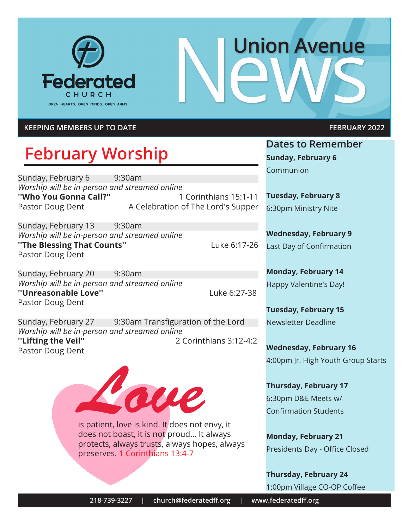

# **Union Avenue**

#### **KEEPING MEMBERS UP TO DATE FEBRUARY 2022**

### **February Worship**

Sunday, February 6 9:30am *Worship will be in-person and streamed online* **''Who You Gonna Call?''** 1 Corinthians 15:1-11 Pastor Doug Dent A Celebration of The Lord's Supper

Sunday, February 13 9:30am *Worship will be in-person and streamed online* **"The Blessing That Counts"** Luke 6:17-26 Pastor Doug Dent

Sunday, February 20 9:30am *Worship will be in-person and streamed online* **''Unreasonable Love''** Luke 6:27-38 Pastor Doug Dent

Sunday, February 27 9:30am Transfiguration of the Lord *Worship will be in-person and streamed online* **''Lifting the Veil''** 2 Corinthians 3:12-4:2 Pastor Doug Dent



does not boast, it is not proud... It always protects, always trusts, always hopes, always preserves. 1 Corinthians 13:4-7

**Dates to Remember Sunday, February 6** Communion

**Tuesday, February 8** 6:30pm Ministry Nite

**Wednesday, February 9** Last Day of Confirmation

**Monday, February 14** Happy Valentine's Day!

**Tuesday, February 15** Newsletter Deadline

**Wednesday, February 16** 4:00pm Jr. High Youth Group Starts

**Thursday, February 17** 6:30pm D&E Meets w/ Confirmation Students

**Monday, February 21** Presidents Day - Office Closed

**Thursday, February 24** 1:00pm Village CO-OP Coffee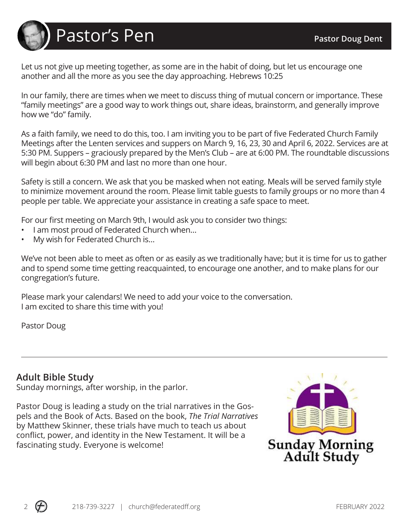

Let us not give up meeting together, as some are in the habit of doing, but let us encourage one another and all the more as you see the day approaching. Hebrews 10:25

In our family, there are times when we meet to discuss thing of mutual concern or importance. These "family meetings" are a good way to work things out, share ideas, brainstorm, and generally improve how we "do" family.

As a faith family, we need to do this, too. I am inviting you to be part of five Federated Church Family Meetings after the Lenten services and suppers on March 9, 16, 23, 30 and April 6, 2022. Services are at 5:30 PM. Suppers – graciously prepared by the Men's Club – are at 6:00 PM. The roundtable discussions will begin about 6:30 PM and last no more than one hour.

Safety is still a concern. We ask that you be masked when not eating. Meals will be served family style to minimize movement around the room. Please limit table guests to family groups or no more than 4 people per table. We appreciate your assistance in creating a safe space to meet.

For our first meeting on March 9th, I would ask you to consider two things:

- I am most proud of Federated Church when…
- My wish for Federated Church is…

We've not been able to meet as often or as easily as we traditionally have; but it is time for us to gather and to spend some time getting reacquainted, to encourage one another, and to make plans for our congregation's future.

Please mark your calendars! We need to add your voice to the conversation. I am excited to share this time with you!

Pastor Doug

#### **Adult Bible Study**

Sunday mornings, after worship, in the parlor.

Pastor Doug is leading a study on the trial narratives in the Gospels and the Book of Acts. Based on the book, *The Trial Narratives* by Matthew Skinner, these trials have much to teach us about conflict, power, and identity in the New Testament. It will be a fascinating study. Everyone is welcome!

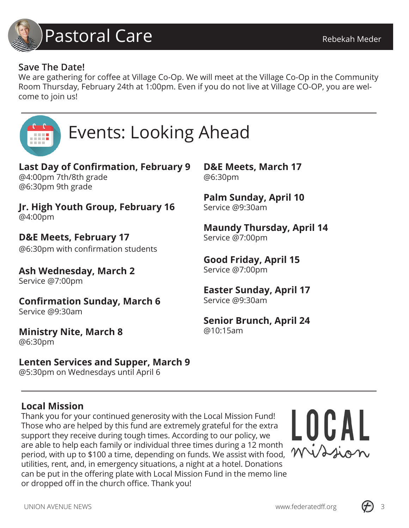

#### **Save The Date!**

We are gathering for coffee at Village Co-Op. We will meet at the Village Co-Op in the Community Room Thursday, February 24th at 1:00pm. Even if you do not live at Village CO-OP, you are welcome to join us!

**D&E Meets, March 17**

**Palm Sunday, April 10**

**Good Friday, April 15**

**Easter Sunday, April 17**

**Senior Brunch, April 24**

**Maundy Thursday, April 14**

@6:30pm

Service @9:30am

Service @7:00pm

Service @7:00pm

Service @9:30am

@10:15am



## Events: Looking Ahead

**Last Day of Confirmation, February 9** @4:00pm 7th/8th grade @6:30pm 9th grade

**Jr. High Youth Group, February 16** @4:00pm

**D&E Meets, February 17** @6:30pm with confirmation students

**Ash Wednesday, March 2** Service @7:00pm

**Confirmation Sunday, March 6**

Service @9:30am

**Ministry Nite, March 8**

@6:30pm

**Lenten Services and Supper, March 9**

@5:30pm on Wednesdays until April 6

#### **Local Mission**

Thank you for your continued generosity with the Local Mission Fund! Those who are helped by this fund are extremely grateful for the extra support they receive during tough times. According to our policy, we are able to help each family or individual three times during a 12 month period, with up to \$100 a time, depending on funds. We assist with food, utilities, rent, and, in emergency situations, a night at a hotel. Donations can be put in the offering plate with Local Mission Fund in the memo line or dropped off in the church office. Thank you!



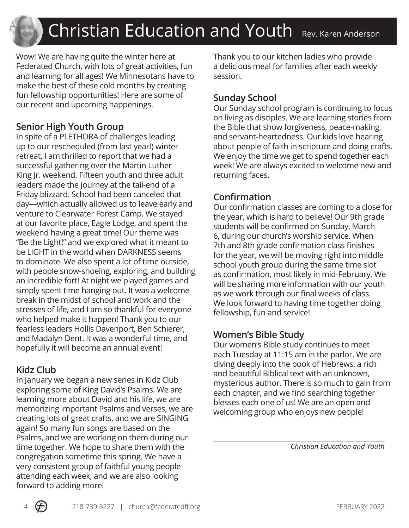## Christian Education and Youth Rev. Karen Anderson

Wow! We are having quite the winter here at Federated Church, with lots of great activities, fun and learning for all ages! We Minnesotans have to make the best of these cold months by creating fun fellowship opportunities! Here are some of our recent and upcoming happenings.

#### **Senior High Youth Group**

In spite of a PLETHORA of challenges leading up to our rescheduled (from last year!) winter retreat, I am thrilled to report that we had a successful gathering over the Martin Luther King Jr. weekend. Fifteen youth and three adult leaders made the journey at the tail-end of a Friday blizzard. School had been canceled that day—which actually allowed us to leave early and venture to Clearwater Forest Camp. We stayed at our favorite place, Eagle Lodge, and spent the weekend having a great time! Our theme was "Be the Light!" and we explored what it meant to be LIGHT in the world when DARKNESS seems to dominate. We also spent a lot of time outside, with people snow-shoeing, exploring, and building an incredible fort! At night we played games and simply spent time hanging out. It was a welcome break in the midst of school and work and the stresses of life, and I am so thankful for everyone who helped make it happen! Thank you to our fearless leaders Hollis Davenport, Ben Schierer, and Madalyn Dent. It was a wonderful time, and hopefully it will become an annual event!

#### **Kidz Club**

In January we began a new series in Kidz Club exploring some of King David's Psalms. We are learning more about David and his life, we are memorizing important Psalms and verses, we are creating lots of great crafts, and we are SINGING again! So many fun songs are based on the Psalms, and we are working on them during our time together. We hope to share them with the congregation sometime this spring. We have a very consistent group of faithful young people attending each week, and we are also looking forward to adding more!

Thank you to our kitchen ladies who provide a delicious meal for families after each weekly session.

#### **Sunday School**

Our Sunday school program is continuing to focus on living as disciples. We are learning stories from the Bible that show forgiveness, peace-making, and servant-heartedness. Our kids love hearing about people of faith in scripture and doing crafts. We enjoy the time we get to spend together each week! We are always excited to welcome new and returning faces.

#### **Confirmation**

Our confirmation classes are coming to a close for the year, which is hard to believe! Our 9th grade students will be confirmed on Sunday, March 6, during our church's worship service. When 7th and 8th grade confirmation class finishes for the year, we will be moving right into middle school youth group during the same time slot as confirmation, most likely in mid-February. We will be sharing more information with our youth as we work through our final weeks of class. We look forward to having time together doing fellowship, fun and service!

#### **Women's Bible Study**

Our women's Bible study continues to meet each Tuesday at 11:15 am in the parlor. We are diving deeply into the book of Hebrews, a rich and beautiful Biblical text with an unknown, mysterious author. There is so much to gain from each chapter, and we find searching together blesses each one of us! We are an open and welcoming group who enjoys new people!

 *Christian Education and Youth*

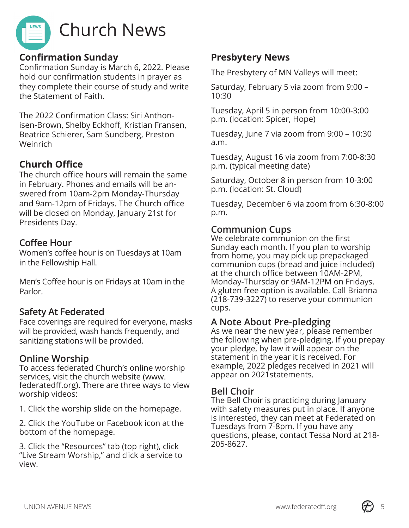

#### **Confirmation Sunday**

Confirmation Sunday is March 6, 2022. Please hold our confirmation students in prayer as they complete their course of study and write the Statement of Faith.

The 2022 Confirmation Class: Siri Anthonisen-Brown, Shelby Eckhoff, Kristian Fransen, Beatrice Schierer, Sam Sundberg, Preston Weinrich

#### **Church Office**

The church office hours will remain the same in February. Phones and emails will be answered from 10am-2pm Monday-Thursday and 9am-12pm of Fridays. The Church office will be closed on Monday, January 21st for Presidents Day.

#### **Coffee Hour**

Women's coffee hour is on Tuesdays at 10am in the Fellowship Hall.

Men's Coffee hour is on Fridays at 10am in the Parlor.

#### **Safety At Federated**

Face coverings are required for everyone, masks will be provided, wash hands frequently, and sanitizing stations will be provided.

#### **Online Worship**

To access federated Church's online worship services, visit the church website (www. federatedff.org). There are three ways to view worship videos:

1. Click the worship slide on the homepage.

2. Click the YouTube or Facebook icon at the bottom of the homepage.

3. Click the "Resources" tab (top right), click "Live Stream Worship," and click a service to view.

#### **Presbytery News**

The Presbytery of MN Valleys will meet:

Saturday, February 5 via zoom from 9:00 – 10:30

Tuesday, April 5 in person from 10:00-3:00 p.m. (location: Spicer, Hope)

Tuesday, June 7 via zoom from 9:00 – 10:30 a.m.

Tuesday, August 16 via zoom from 7:00-8:30 p.m. (typical meeting date)

Saturday, October 8 in person from 10-3:00 p.m. (location: St. Cloud)

Tuesday, December 6 via zoom from 6:30-8:00 p.m.

#### **Communion Cups**

We celebrate communion on the first Sunday each month. If you plan to worship from home, you may pick up prepackaged communion cups (bread and juice included) at the church office between 10AM-2PM, Monday-Thursday or 9AM-12PM on Fridays. A gluten free option is available. Call Brianna (218-739-3227) to reserve your communion cups.

#### **A Note About Pre-pledging**

As we near the new year, please remember the following when pre-pledging. If you prepay your pledge, by law it will appear on the statement in the year it is received. For example, 2022 pledges received in 2021 will appear on 2021statements.

#### **Bell Choir**

The Bell Choir is practicing during January with safety measures put in place. If anyone is interested, they can meet at Federated on Tuesdays from 7-8pm. If you have any questions, please, contact Tessa Nord at 218- 205-8627.

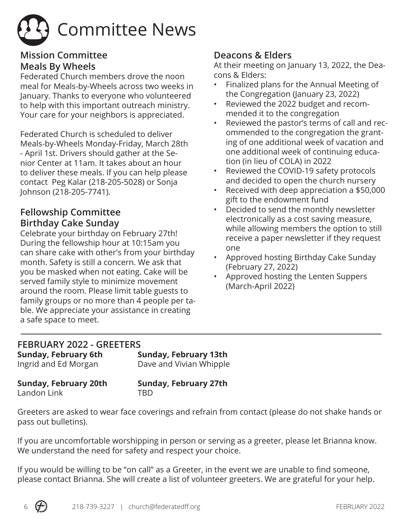

#### **Mission Committee Meals By Wheels**

Federated Church members drove the noon meal for Meals-by-Wheels across two weeks in January. Thanks to everyone who volunteered to help with this important outreach ministry. Your care for your neighbors is appreciated.

Federated Church is scheduled to deliver Meals-by-Wheels Monday-Friday, March 28th - April 1st. Drivers should gather at the Senior Center at 11am. It takes about an hour to deliver these meals. If you can help please contact Peg Kalar (218-205-5028) or Sonja Johnson (218-205-7741).

#### **Fellowship Committee Birthday Cake Sunday**

Celebrate your birthday on February 27th! During the fellowship hour at 10:15am you can share cake with other's from your birthday month. Safety is still a concern. We ask that you be masked when not eating. Cake will be served family style to minimize movement around the room. Please limit table guests to family groups or no more than 4 people per table. We appreciate your assistance in creating a safe space to meet.

#### **Deacons & Elders**

At their meeting on January 13, 2022, the Deacons & Elders:

- Finalized plans for the Annual Meeting of the Congregation (January 23, 2022)
- Reviewed the 2022 budget and recommended it to the congregation
- Reviewed the pastor's terms of call and recommended to the congregation the granting of one additional week of vacation and one additional week of continuing education (in lieu of COLA) in 2022
- Reviewed the COVID-19 safety protocols and decided to open the church nursery
- Received with deep appreciation a \$50,000 gift to the endowment fund
- Decided to send the monthly newsletter electronically as a cost saving measure, while allowing members the option to still receive a paper newsletter if they request one
- Approved hosting Birthday Cake Sunday (February 27, 2022)
- Approved hosting the Lenten Suppers (March-April 2022)

#### **FEBRUARY 2022 - GREETERS Sunday, February 6th Sunday, February 13th**<br>Ingrid and Ed Morgan **Sunday** Dave and Vivian Whipple

Dave and Vivian Whipple

Landon Link TBD

**Sunday, February 20th Sunday, February 27th**

Greeters are asked to wear face coverings and refrain from contact (please do not shake hands or pass out bulletins).

If you are uncomfortable worshipping in person or serving as a greeter, please let Brianna know. We understand the need for safety and respect your choice.

If you would be willing to be "on call" as a Greeter, in the event we are unable to find someone, please contact Brianna. She will create a list of volunteer greeters. We are grateful for your help.

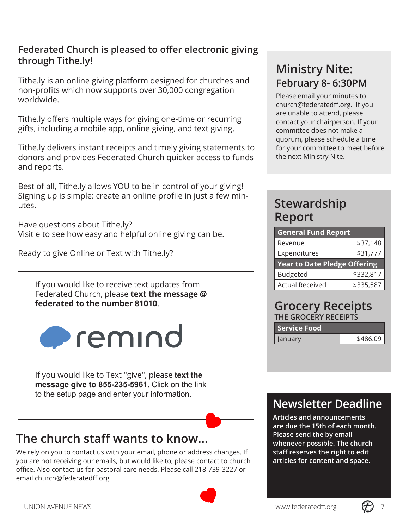#### **Federated Church is pleased to offer electronic giving through Tithe.ly!**

Tithe.ly is an online giving platform designed for churches and non-profits which now supports over 30,000 congregation worldwide.

Tithe.ly offers multiple ways for giving one-time or recurring gifts, including a mobile app, online giving, and text giving.

Tithe.ly delivers instant receipts and timely giving statements to donors and provides Federated Church quicker access to funds and reports.

Best of all, Tithe.ly allows YOU to be in control of your giving! Signing up is simple: create an online profile in just a few minutes.

Have questions about Tithe.ly? Visit e to see how easy and helpful online giving can be.

Ready to give Online or Text with Tithe.ly?

If you would like to receive text updates from Federated Church, please **text the message @ federated to the number 81010**.



If you would like to Text ''give'', please **text the message give to 855-235-5961.** Click on the link to the setup page and enter your information.

#### **The church staff wants to know...**

We rely on you to contact us with your email, phone or address changes. If you are not receiving our emails, but would like to, please contact to church office. Also contact us for pastoral care needs. Please call 218-739-3227 or email church@federatedff.org



#### **Ministry Nite: February 8- 6:30PM**

Please email your minutes to church@federatedff.org. If you are unable to attend, please contact your chairperson. If your committee does not make a quorum, please schedule a time for your committee to meet before the next Ministry Nite.

#### **Stewardship Report**

| <b>General Fund Report</b>          |           |  |
|-------------------------------------|-----------|--|
| Revenue                             | \$37,148  |  |
| Expenditures<br>\$31,777            |           |  |
| <b>Year to Date Pledge Offering</b> |           |  |
|                                     |           |  |
| <b>Budgeted</b>                     | \$332,817 |  |

#### **Grocery Receipts THE GROCERY RECEIPTS**

| <b>Service Food</b> |          |
|---------------------|----------|
| January             | \$486.09 |

#### **Newsletter Deadline**

**Articles and announcements are due the 15th of each month. Please send the by email whenever possible. The church staff reserves the right to edit articles for content and space.**